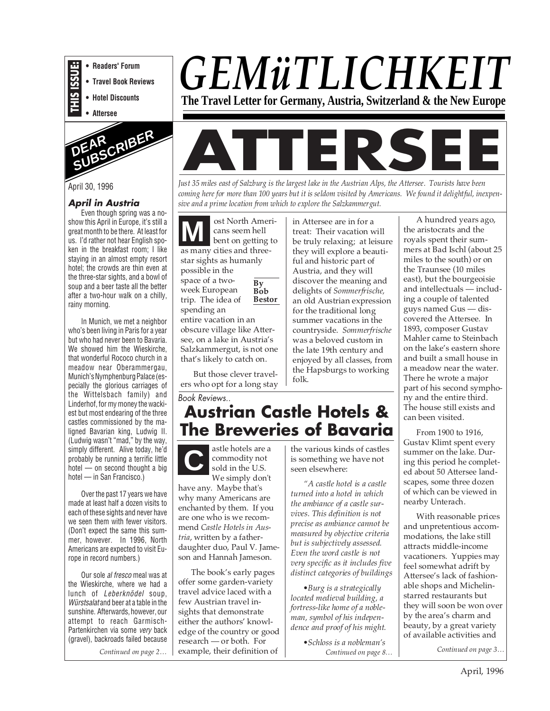



# **April in Austria**

Even though spring was a noshow this April in Europe, it's still a great month to be there. At least for us. I'd rather not hear English spoken in the breakfast room; I like staying in an almost empty resort hotel; the crowds are thin even at the three-star sights, and a bowl of soup and a beer taste all the better after a two-hour walk on a chilly, rainy morning.

In Munich, we met a neighbor who's been living in Paris for a year but who had never been to Bavaria. We showed him the Wieskirche. that wonderful Rococo church in a meadow near Oberammergau, Munich's Nymphenburg Palace (especially the glorious carriages of the Wittelsbach family) and Linderhof, for my money the wackiest but most endearing of the three castles commissioned by the maligned Bavarian king, Ludwig II. (Ludwig wasn't "mad," by the way, simply different. Alive today, he'd probably be running a terrific little hotel — on second thought a big hotel — in San Francisco.)

Over the past 17 years we have made at least half a dozen visits to each of these sights and never have we seen them with fewer visitors. (Don't expect the same this summer, however. In 1996, North Americans are expected to visit Europe in record numbers.)

Our sole al fresco meal was at the Wieskirche, where we had a lunch of Leberknödel soup, Würstsalat and beer at a table in the sunshine. Afterwards, however, our attempt to reach Garmisch-Partenkirchen via some very back (gravel), backroads failed because

*Continued on page 2…*

# *GEMüTLICHKEIT* **The Travel Letter for Germany, Austria, Switzerland & the New Europe**



April 30, 1996 *Just 35 miles east of Salzburg is the largest lake in the Austrian Alps, the Attersee. Tourists have been coming here for more than 100 years but it is seldom visited by Americans. We found it delightful, inexpensive and a prime location from which to explore the Salzkammergut.*

> **By Bob Bestor** ost North Americans seem hell bent on getting to as many cities and threestar sights as humanly possible in the space of a twoweek European trip. The idea of spending an entire vacation in an obscure village like Atter-**M**

> see, on a lake in Austria's Salzkammergut, is not one that's likely to catch on.

> But those clever travelers who opt for a long stay

Book Reviews..

**Austrian Castle Hotels & The Breweries of Bavaria**

**C** astle hotels are a commodity not sold in the U.S. We simply don't

have any. Maybe that's why many Americans are enchanted by them. If you are one who is we recommend *Castle Hotels in Austria*, written by a fatherdaughter duo, Paul V. Jameson and Hannah Jameson.

The book's early pages offer some garden-variety travel advice laced with a few Austrian travel insights that demonstrate either the authors' knowledge of the country or good research — or both. For example, their definition of **Continued on page 3...** Continued on page 3...

in Attersee are in for a treat: Their vacation will be truly relaxing; at leisure they will explore a beautiful and historic part of Austria, and they will discover the meaning and delights of *Sommerfrische,* an old Austrian expression for the traditional long summer vacations in the countryside. *Sommerfrische* was a beloved custom in the late 19th century and enjoyed by all classes, from the Hapsburgs to working folk.

the various kinds of castles is something we have not seen elsewhere:

*"A castle hotel is a castle turned into a hotel in which the ambiance of a castle survives. This definition is not precise as ambiance cannot be measured by objective criteria but is subjectively assessed. Even the word castle is not very specific as it includes five distinct categories of buildings*

*•Burg is a strategically located medieval building, a fortress-like home of a nobleman, symbol of his independence and proof of his might.*

> *Continued on page 8… •Schloss is a nobleman's*

A hundred years ago, the aristocrats and the royals spent their summers at Bad Ischl (about 25 miles to the south) or on the Traunsee (10 miles east), but the bourgeoisie and intellectuals — including a couple of talented guys named Gus — discovered the Attersee. In 1893, composer Gustav Mahler came to Steinbach on the lake's eastern shore and built a small house in a meadow near the water. There he wrote a major part of his second symphony and the entire third. The house still exists and can been visited.

From 1900 to 1916, Gustav Klimt spent every summer on the lake. During this period he completed about 50 Attersee landscapes, some three dozen of which can be viewed in nearby Unterach.

With reasonable prices and unpretentious accommodations, the lake still attracts middle-income vacationers. Yuppies may feel somewhat adrift by Attersee's lack of fashionable shops and Michelinstarred restaurants but they will soon be won over by the area's charm and beauty, by a great variety of available activities and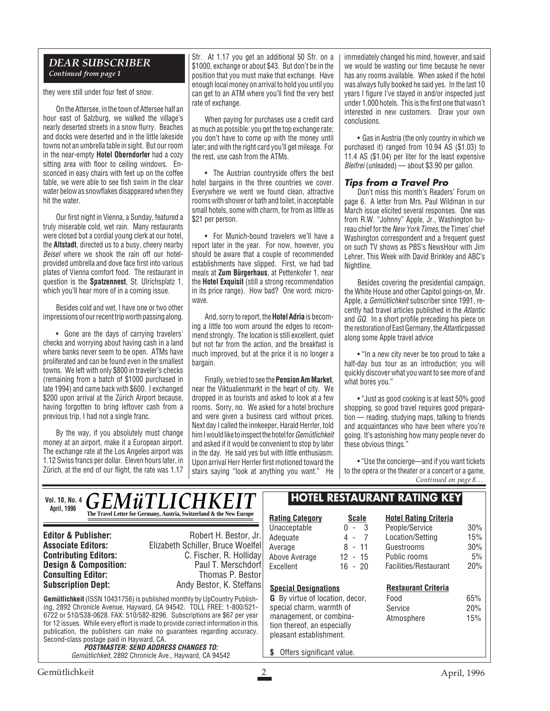#### *DEAR SUBSCRIBER Continued from page 1*

they were still under four feet of snow.

On the Attersee, in the town of Attersee half an hour east of Salzburg, we walked the village's nearly deserted streets in a snow flurry. Beaches and docks were deserted and in the little lakeside towns not an umbrella table in sight. But our room in the near-empty **Hotel Oberndorfer** had a cozy sitting area with floor to ceiling windows. Ensconced in easy chairs with feet up on the coffee table, we were able to see fish swim in the clear water below as snowflakes disappeared when they hit the water.

Our first night in Vienna, a Sunday, featured a truly miserable cold, wet rain. Many restaurants were closed but a cordial young clerk at our hotel, the **Altstadt**, directed us to a busy, cheery nearby Beisel where we shook the rain off our hotelprovided umbrella and dove face first into various plates of Vienna comfort food. The restaurant in question is the **Spatzennest**, St. Ulrichsplatz 1, which you'll hear more of in a coming issue.

Besides cold and wet, I have one or two other impressions of our recent trip worth passing along.

• Gone are the days of carrying travelers' checks and worrying about having cash in a land where banks never seem to be open. ATMs have proliferated and can be found even in the smallest towns. We left with only \$800 in traveler's checks (remaining from a batch of \$1000 purchased in late 1994) and came back with \$600. I exchanged \$200 upon arrival at the Zürich Airport because, having forgotten to bring leftover cash from a previous trip, I had not a single franc.

By the way, if you absolutely must change money at an airport, make it a European airport. The exchange rate at the Los Angeles airport was 1.12 Swiss francs per dollar. Eleven hours later, in Zürich, at the end of our flight, the rate was 1.17

Sfr. At 1.17 you get an additional 50 Sfr. on a \$1000, exchange or about \$43. But don't be in the position that you must make that exchange. Have enough local money on arrival to hold you until you can get to an ATM where you'll find the very best rate of exchange.

When paying for purchases use a credit card as much as possible: you get the top exchange rate; you don't have to come up with the money until later; and with the right card you'll get mileage. For the rest, use cash from the ATMs.

• The Austrian countryside offers the best hotel bargains in the three countries we cover. Everywhere we went we found clean, attractive rooms with shower or bath and toilet, in acceptable small hotels, some with charm, for from as little as \$21 per person.

• For Munich-bound travelers we'll have a report later in the year. For now, however, you should be aware that a couple of recommended establishments have slipped. First, we had bad meals at **Zum Bürgerhaus**, at Pettenkofer 1, near the **Hotel Exquisit** (still a strong recommendation in its price range). How bad? One word: microwave.

And, sorry to report, the **Hotel Adria** is becoming a little too worn around the edges to recommend strongly. The location is still excellent, quiet but not far from the action, and the breakfast is much improved, but at the price it is no longer a bargain.

Finally, we tried to see the **Pension Am Market**, near the Viktualienmarkt in the heart of city. We dropped in as tourists and asked to look at a few rooms. Sorry, no. We asked for a hotel brochure and were given a business card without prices. Next day I called the innkeeper, Harald Herrler, told him I would like to inspect the hotel for Gemütlichkeit and asked if it would be convenient to stop by later in the day. He said yes but with little enthusiasm. Upon arrival Herr Herrler first motioned toward the stairs saying "look at anything you want." He immediately changed his mind, however, and said we would be wasting our time because he never has any rooms available. When asked if the hotel was always fully booked he said yes. In the last 10 years I figure I've stayed in and/or inspected just under 1,000 hotels. This is the first one that wasn't interested in new customers. Draw your own conclusions.

• Gas in Austria (the only country in which we purchased it) ranged from 10.94 AS (\$1.03) to 11.4 AS (\$1.04) per liter for the least expensive Bleifrei (unleaded) — about \$3.90 per gallon.

### **Tips from a Travel Pro**

Don't miss this month's Readers' Forum on page 6. A letter from Mrs. Paul Wildman in our March issue elicited several responses. One was from R.W. "Johnny" Apple, Jr., Washington bureau chief for the New York Times, the Times' chief Washington correspondent and a frequent guest on such TV shows as PBS's NewsHour with Jim Lehrer, This Week with David Brinkley and ABC's Nightline.

Besides covering the presidential campaign, the White House and other Capitol goings-on, Mr. Apple, a Gemütlichkeit subscriber since 1991, recently had travel articles published in the Atlantic and GQ. In a short profile preceding his piece on the restoration of East Germany, the Atlanticpassed along some Apple travel advice

• "In a new city never be too proud to take a half-day bus tour as an introduction; you will quickly discover what you want to see more of and what bores you."

• "Just as good cooking is at least 50% good shopping, so good travel requires good preparation — reading, studying maps, talking to friends and acquaintances who have been where you're going. It's astonishing how many people never do these obvious things."

• "Use the concierge—and if you want tickets to the opera or the theater or a concert or a game, *Continued on page 8…*

| Vol. 10, No. 4 $GEM\ddot{u}TLICHKEIT$<br>April, 1996                                                                                                                                                                                                                                |                                                                      | <b>HOTEL RESTAURANT RATING KEY</b>                                                |                         |                                                |             |
|-------------------------------------------------------------------------------------------------------------------------------------------------------------------------------------------------------------------------------------------------------------------------------------|----------------------------------------------------------------------|-----------------------------------------------------------------------------------|-------------------------|------------------------------------------------|-------------|
|                                                                                                                                                                                                                                                                                     | The Travel Letter for Germany, Austria, Switzerland & the New Europe | <b>Rating Category</b>                                                            | <b>Scale</b><br>$0 - 3$ | <b>Hotel Rating Criteria</b><br>People/Service | 30%         |
| <b>Editor &amp; Publisher:</b>                                                                                                                                                                                                                                                      | Robert H. Bestor, Jr.                                                | Unacceptable<br>Adequate                                                          | $4 - 7$                 | Location/Setting                               | 15%         |
| <b>Associate Editors:</b>                                                                                                                                                                                                                                                           | Elizabeth Schiller, Bruce Woelfel                                    | Average                                                                           | 8<br>- 11               | Guestrooms                                     | 30%         |
| <b>Contributing Editors:</b>                                                                                                                                                                                                                                                        | C. Fischer, R. Holliday                                              | Above Average                                                                     | 12<br>$-15$             | Public rooms                                   | 5%          |
| <b>Design &amp; Composition:</b><br><b>Consulting Editor:</b>                                                                                                                                                                                                                       | Paul T. Merschdorf<br>Thomas P. Bestorl                              | Excellent                                                                         | $16 - 20$               | Facilities/Restaurant                          | 20%         |
| <b>Subscription Dept:</b>                                                                                                                                                                                                                                                           | Andy Bestor, K. Steffans                                             | <b>Special Designations</b>                                                       |                         | <b>Restaurant Criteria</b>                     |             |
| <b>Gemütlichkeit</b> (ISSN 10431756) is published monthly by UpCountry Publish-                                                                                                                                                                                                     |                                                                      | <b>G</b> By virtue of location, decor,                                            |                         | Food                                           | 65%         |
| ing, 2892 Chronicle Avenue, Hayward, CA 94542. TOLL FREE: 1-800/521-                                                                                                                                                                                                                |                                                                      | special charm, warmth of                                                          |                         | Service                                        | 20%         |
| 6722 or 510/538-0628. FAX: 510/582-8296. Subscriptions are \$67 per year<br>for 12 issues. While every effort is made to provide correct information in this<br>publication, the publishers can make no quarantees regarding accuracy.<br>Second-class postage paid in Hayward, CA. |                                                                      | management, or combina-<br>tion thereof, an especially<br>pleasant establishment. |                         | Atmosphere                                     | 15%         |
| <b>POSTMASTER: SEND ADDRESS CHANGES TO:</b><br>Gemütlichkeit, 2892 Chronicle Ave., Hayward, CA 94542                                                                                                                                                                                |                                                                      | Offers significant value.                                                         |                         |                                                |             |
| Gemütlichkeit                                                                                                                                                                                                                                                                       |                                                                      |                                                                                   |                         |                                                | April, 1996 |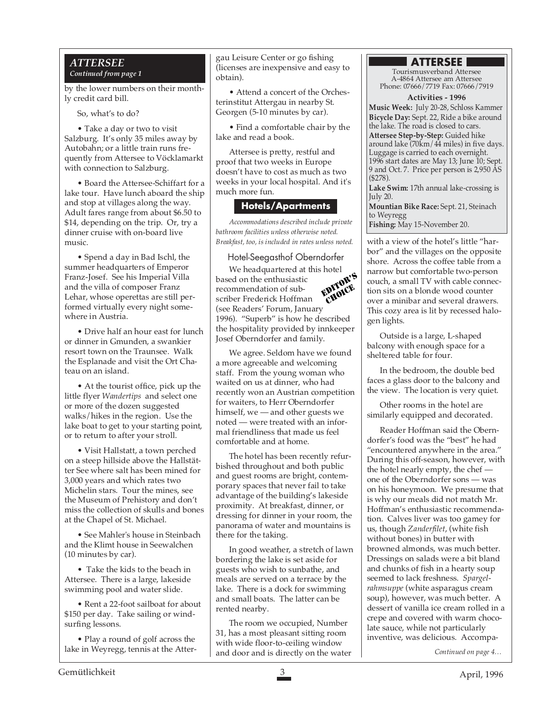#### *ATTERSEE Continued from page 1*

by the lower numbers on their monthly credit card bill.

So, what's to do?

• Take a day or two to visit Salzburg. It's only 35 miles away by Autobahn; or a little train runs frequently from Attersee to Vöcklamarkt with connection to Salzburg.

• Board the Attersee-Schiffart for a lake tour. Have lunch aboard the ship and stop at villages along the way. Adult fares range from about \$6.50 to \$14, depending on the trip. Or, try a dinner cruise with on-board live music.

• Spend a day in Bad Ischl, the summer headquarters of Emperor Franz-Josef. See his Imperial Villa and the villa of composer Franz Lehar, whose operettas are still performed virtually every night somewhere in Austria.

• Drive half an hour east for lunch or dinner in Gmunden, a swankier resort town on the Traunsee. Walk the Esplanade and visit the Ort Chateau on an island.

• At the tourist office, pick up the little flyer *Wandertips* and select one or more of the dozen suggested walks/hikes in the region. Use the lake boat to get to your starting point, or to return to after your stroll.

• Visit Hallstatt, a town perched on a steep hillside above the Hallstätter See where salt has been mined for 3,000 years and which rates two Michelin stars. Tour the mines, see the Museum of Prehistory and don't miss the collection of skulls and bones at the Chapel of St. Michael.

• See Mahler's house in Steinbach and the Klimt house in Seewalchen (10 minutes by car).

• Take the kids to the beach in Attersee. There is a large, lakeside swimming pool and water slide.

• Rent a 22-foot sailboat for about \$150 per day. Take sailing or windsurfing lessons.

• Play a round of golf across the lake in Weyregg, tennis at the Attergau Leisure Center or go fishing (licenses are inexpensive and easy to obtain).

• Attend a concert of the Orchesterinstitut Attergau in nearby St. Georgen (5-10 minutes by car).

• Find a comfortable chair by the lake and read a book.

Attersee is pretty, restful and proof that two weeks in Europe doesn't have to cost as much as two weeks in your local hospital. And it's much more fun.

# **Hotels/Apartments**

*Accommodations described include private bathroom facilities unless otherwise noted. Breakfast, too, is included in rates unless noted.*

# Hotel-Seegasthof Oberndorfer

We headquartered at this hotel based on the enthusiastic recommendation of subscriber Frederick Hoffman (see Readers' Forum, January 1996). "Superb" is how he described the hospitality provided by innkeeper Josef Oberndorfer and family. EDITOR'S eventer.

We agree. Seldom have we found a more agreeable and welcoming staff. From the young woman who waited on us at dinner, who had recently won an Austrian competition for waiters, to Herr Oberndorfer himself, we — and other guests we noted — were treated with an informal friendliness that made us feel comfortable and at home.

The hotel has been recently refurbished throughout and both public and guest rooms are bright, contemporary spaces that never fail to take advantage of the building's lakeside proximity. At breakfast, dinner, or dressing for dinner in your room, the panorama of water and mountains is there for the taking.

In good weather, a stretch of lawn bordering the lake is set aside for guests who wish to sunbathe, and meals are served on a terrace by the lake. There is a dock for swimming and small boats. The latter can be rented nearby.

The room we occupied, Number 31, has a most pleasant sitting room with wide floor-to-ceiling window and door and is directly on the water

# **ATTERSEE**

Tourismusverband Attersee A-4864 Attersee am Attersee Phone: 07666/7719 Fax: 07666/7919

**Activities - 1996**

**Music Week:** July 20-28, Schloss Kammer **Bicycle Day:** Sept. 22, Ride a bike around the lake. The road is closed to cars. **Attersee Step-by-Step:** Guided hike around lake (70km/44 miles) in five days. Luggage is carried to each overnight. 1996 start dates are May 13; June 10; Sept. 9 and Oct. 7. Price per person is 2,950 AS (\$278).

**Lake Swim:** 17th annual lake-crossing is July 20.

**Mountian Bike Race:** Sept. 21, Steinach to Weyregg

**Fishing:** May 15-November 20.

with a view of the hotel's little "harbor" and the villages on the opposite shore. Across the coffee table from a narrow but comfortable two-person couch, a small TV with cable connection sits on a blonde wood counter over a minibar and several drawers. This cozy area is lit by recessed halogen lights.

Outside is a large, L-shaped balcony with enough space for a sheltered table for four.

In the bedroom, the double bed faces a glass door to the balcony and the view. The location is very quiet.

Other rooms in the hotel are similarly equipped and decorated.

Reader Hoffman said the Oberndorfer's food was the "best" he had "encountered anywhere in the area." During this off-season, however, with the hotel nearly empty, the chef one of the Oberndorfer sons — was on his honeymoon. We presume that is why our meals did not match Mr. Hoffman's enthusiastic recommendation. Calves liver was too gamey for us, though *Zanderfilet*, (white fish without bones) in butter with browned almonds, was much better. Dressings on salads were a bit bland and chunks of fish in a hearty soup seemed to lack freshness. *Spargelrahmsuppe* (white asparagus cream soup), however, was much better. A dessert of vanilla ice cream rolled in a crepe and covered with warm chocolate sauce, while not particularly inventive, was delicious. Accompa-

*Continued on page 4…*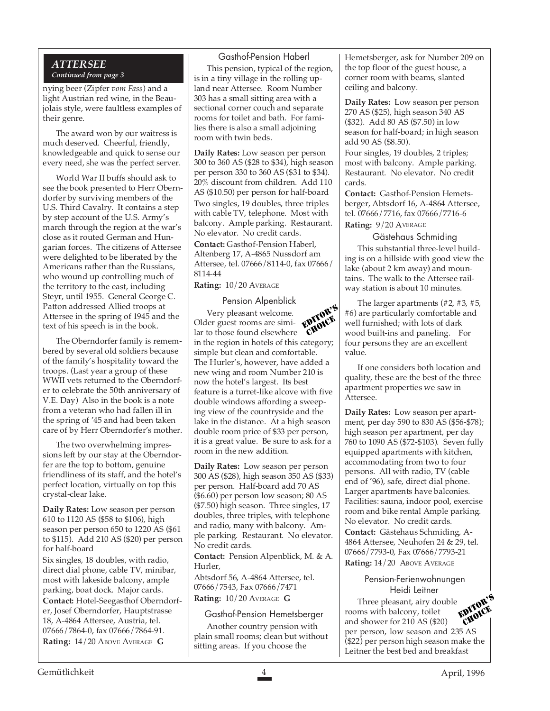#### *ATTERSEE Continued from page 3*

nying beer (Zipfer *vom Fass*) and a light Austrian red wine, in the Beaujolais style, were faultless examples of their genre.

The award won by our waitress is much deserved. Cheerful, friendly, knowledgeable and quick to sense our every need, she was the perfect server.

World War II buffs should ask to see the book presented to Herr Oberndorfer by surviving members of the U.S. Third Cavalry. It contains a step by step account of the U.S. Army's march through the region at the war's close as it routed German and Hungarian forces. The citizens of Attersee were delighted to be liberated by the Americans rather than the Russians, who wound up controlling much of the territory to the east, including Steyr, until 1955. General George C. Patton addressed Allied troops at Attersee in the spring of 1945 and the text of his speech is in the book.

The Oberndorfer family is remembered by several old soldiers because of the family's hospitality toward the troops. (Last year a group of these WWII vets returned to the Oberndorfer to celebrate the 50th anniversary of V.E. Day) Also in the book is a note from a veteran who had fallen ill in the spring of '45 and had been taken care of by Herr Oberndorfer's mother.

The two overwhelming impressions left by our stay at the Oberndorfer are the top to bottom, genuine friendliness of its staff, and the hotel's perfect location, virtually on top this crystal-clear lake.

**Daily Rates:** Low season per person 610 to 1120 AS (\$58 to \$106), high season per person 650 to 1220 AS (\$61 to \$115). Add 210 AS (\$20) per person for half-board

Six singles, 18 doubles, with radio, direct dial phone, cable TV, minibar, most with lakeside balcony, ample parking, boat dock. Major cards.

**Contact:** Hotel-Seegasthof Oberndorfer, Josef Oberndorfer, Hauptstrasse 18, A-4864 Attersee, Austria, tel. 07666/7864-0, fax 07666/7864-91. **Rating:** 14/20 ABOVE AVERAGE **G**

#### Gasthof-Pension Haberl

This pension, typical of the region, is in a tiny village in the rolling upland near Attersee. Room Number 303 has a small sitting area with a sectional corner couch and separate rooms for toilet and bath. For families there is also a small adjoining room with twin beds.

**Daily Rates:** Low season per person 300 to 360 AS (\$28 to \$34), high season per person 330 to 360 AS (\$31 to \$34). 20% discount from children. Add 110 AS (\$10.50) per person for half-board Two singles, 19 doubles, three triples with cable TV, telephone. Most with balcony. Ample parking. Restaurant. No elevator. No credit cards. **Contact:** Gasthof-Pension Haberl, Altenberg 17, A-4865 Nussdorf am Attersee, tel. 07666/8114-0, fax 07666/ 8114-44

**Rating:** 10/20 AVERAGE

#### Pension Alpenblick

Very pleasant welcome. Older guest rooms are similar to those found elsewhere in the region in hotels of this category; simple but clean and comfortable. The Hurler's, however, have added a new wing and room Number 210 is now the hotel's largest. Its best feature is a turret-like alcove with five double windows affording a sweeping view of the countryside and the lake in the distance. At a high season double room price of \$33 per person, it is a great value. Be sure to ask for a room in the new addition. EDITOR'S CHOICE

**Daily Rates:** Low season per person 300 AS (\$28), high season 350 AS (\$33) per person. Half-board add 70 AS (\$6.60) per person low season; 80 AS (\$7.50) high season. Three singles, 17 doubles, three triples, with telephone and radio, many with balcony. Ample parking. Restaurant. No elevator. No credit cards.

**Contact:** Pension Alpenblick, M. & A. Hurler,

Abtsdorf 56, A-4864 Attersee, tel. 07666/7543, Fax 07666/7471

**Rating:** 10/20 AVERAGE **G**

#### Gasthof-Pension Hemetsberger

Another country pension with plain small rooms; clean but without sitting areas. If you choose the

Hemetsberger, ask for Number 209 on the top floor of the guest house, a corner room with beams, slanted ceiling and balcony.

**Daily Rates:** Low season per person 270 AS (\$25), high season 340 AS (\$32). Add 80 AS (\$7.50) in low season for half-board; in high season add 90 AS (\$8.50).

Four singles, 19 doubles, 2 triples; most with balcony. Ample parking. Restaurant. No elevator. No credit cards.

**Contact:** Gasthof-Pension Hemetsberger, Abtsdorf 16, A-4864 Attersee, tel. 07666/7716, fax 07666/7716-6 **Rating:** 9/20 AVERAGE

Gästehaus Schmiding

This substantial three-level building is on a hillside with good view the lake (about 2 km away) and mountains. The walk to the Attersee railway station is about 10 minutes.

The larger apartments (#2, #3, #5, #6) are particularly comfortable and well furnished; with lots of dark wood built-ins and paneling. For four persons they are an excellent value.

If one considers both location and quality, these are the best of the three apartment properties we saw in Attersee.

**Daily Rates:** Low season per apartment, per day 590 to 830 AS (\$56-\$78); high season per apartment, per day 760 to 1090 AS (\$72-\$103). Seven fully equipped apartments with kitchen, accommodating from two to four persons. All with radio, TV (cable end of '96), safe, direct dial phone. Larger apartments have balconies. Facilities: sauna, indoor pool, exercise room and bike rental Ample parking. No elevator. No credit cards. **Contact:** Gästehaus Schmiding, A-4864 Attersee, Neuhofen 24 & 29, tel.

07666/7793-0, Fax 07666/7793-21 **Rating:** 14/20 ABOVE AVERAGE

#### Pension-Ferienwohnungen Heidi Leitner

Three pleasant, airy double rooms with balcony, toilet and shower for 210 AS (\$20) per person, low season and 235 AS (\$22) per person high season make the Leitner the best bed and breakfast EDITOR'S CHOICE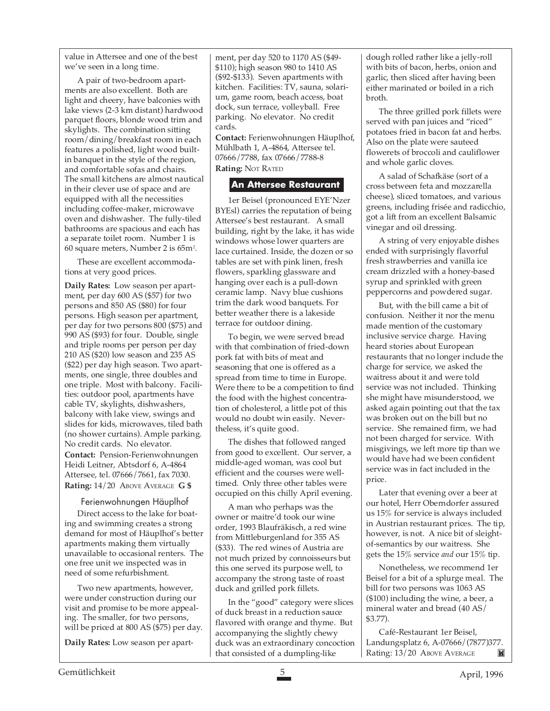value in Attersee and one of the best we've seen in a long time.

A pair of two-bedroom apartments are also excellent. Both are light and cheery, have balconies with lake views (2-3 km distant) hardwood parquet floors, blonde wood trim and skylights. The combination sitting room/dining/breakfast room in each features a polished, light wood builtin banquet in the style of the region, and comfortable sofas and chairs. The small kitchens are almost nautical in their clever use of space and are equipped with all the necessities including coffee-maker, microwave oven and dishwasher. The fully-tiled bathrooms are spacious and each has a separate toilet room. Number 1 is 60 square meters, Number 2 is 65m2 .

These are excellent accommodations at very good prices.

**Daily Rates:** Low season per apartment, per day 600 AS (\$57) for two persons and 850 AS (\$80) for four persons. High season per apartment, per day for two persons 800 (\$75) and 990 AS (\$93) for four. Double, single and triple rooms per person per day 210 AS (\$20) low season and 235 AS (\$22) per day high season. Two apartments, one single, three doubles and one triple. Most with balcony. Facilities: outdoor pool, apartments have cable TV, skylights, dishwashers, balcony with lake view, swings and slides for kids, microwaves, tiled bath (no shower curtains). Ample parking. No credit cards. No elevator. **Contact:** Pension-Ferienwohnungen Heidi Leitner, Abtsdorf 6, A-4864 Attersee, tel. 07666/7661, fax 7030.

**Rating:** 14/20 ABOVE AVERAGE **G \$**

#### Ferienwohnungen Häuplhof

Direct access to the lake for boating and swimming creates a strong demand for most of Häuplhof's better apartments making them virtually unavailable to occasional renters. The one free unit we inspected was in need of some refurbishment.

Two new apartments, however, were under construction during our visit and promise to be more appealing. The smaller, for two persons, will be priced at 800 AS (\$75) per day.

**Daily Rates:** Low season per apart-

ment, per day 520 to 1170 AS (\$49- \$110); high season 980 to 1410 AS (\$92-\$133). Seven apartments with kitchen. Facilities: TV, sauna, solarium, game room, beach access, boat dock, sun terrace, volleyball. Free parking. No elevator. No credit cards.

**Contact:** Ferienwohnungen Häuplhof, Mühlbath 1, A-4864, Attersee tel. 07666/7788, fax 07666/7788-8

# **Rating:** NOT RATED

#### **An Attersee Restaurant**

1er Beisel (pronounced EYE'Nzer BYEsl) carries the reputation of being Attersee's best restaurant. A small building, right by the lake, it has wide windows whose lower quarters are lace curtained. Inside, the dozen or so tables are set with pink linen, fresh flowers, sparkling glassware and hanging over each is a pull-down ceramic lamp. Navy blue cushions trim the dark wood banquets. For better weather there is a lakeside terrace for outdoor dining.

To begin, we were served bread with that combination of fried-down pork fat with bits of meat and seasoning that one is offered as a spread from time to time in Europe. Were there to be a competition to find the food with the highest concentration of cholesterol, a little pot of this would no doubt win easily. Nevertheless, it's quite good.

The dishes that followed ranged from good to excellent. Our server, a middle-aged woman, was cool but efficient and the courses were welltimed. Only three other tables were occupied on this chilly April evening.

A man who perhaps was the owner or maitre'd took our wine order, 1993 Blaufräkisch, a red wine from Mittleburgenland for 355 AS (\$33). The red wines of Austria are not much prized by connoisseurs but this one served its purpose well, to accompany the strong taste of roast duck and grilled pork fillets.

In the "good" category were slices of duck breast in a reduction sauce flavored with orange and thyme. But accompanying the slightly chewy duck was an extraordinary concoction that consisted of a dumpling-like

dough rolled rather like a jelly-roll with bits of bacon, herbs, onion and garlic, then sliced after having been either marinated or boiled in a rich broth.

The three grilled pork fillets were served with pan juices and "riced" potatoes fried in bacon fat and herbs. Also on the plate were sauteed flowerets of broccoli and cauliflower and whole garlic cloves.

A salad of Schafkäse (sort of a cross between feta and mozzarella cheese), sliced tomatoes, and various greens, including frisée and radicchio, got a lift from an excellent Balsamic vinegar and oil dressing.

A string of very enjoyable dishes ended with surprisingly flavorful fresh strawberries and vanilla ice cream drizzled with a honey-based syrup and sprinkled with green peppercorns and powdered sugar.

But, with the bill came a bit of confusion. Neither it nor the menu made mention of the customary inclusive service charge. Having heard stories about European restaurants that no longer include the charge for service, we asked the waitress about it and were told service was not included. Thinking she might have misunderstood, we asked again pointing out that the tax was broken out on the bill but no service. She remained firm, we had not been charged for service. With misgivings, we left more tip than we would have had we been confident service was in fact included in the price.

Later that evening over a beer at our hotel, Herr Oberndorfer assured us 15% for service is always included in Austrian restaurant prices. The tip, however, is not. A nice bit of sleightof-semantics by our waitress. She gets the 15% service *and* our 15% tip.

Nonetheless, we recommend 1er Beisel for a bit of a splurge meal. The bill for two persons was 1063 AS (\$100) including the wine, a beer, a mineral water and bread (40 AS/ \$3.77).

Café-Restaurant 1er Beisel, Landungsplatz 6, A-07666/(7877)377. Rating: 13/20 ABOVE AVERAGE M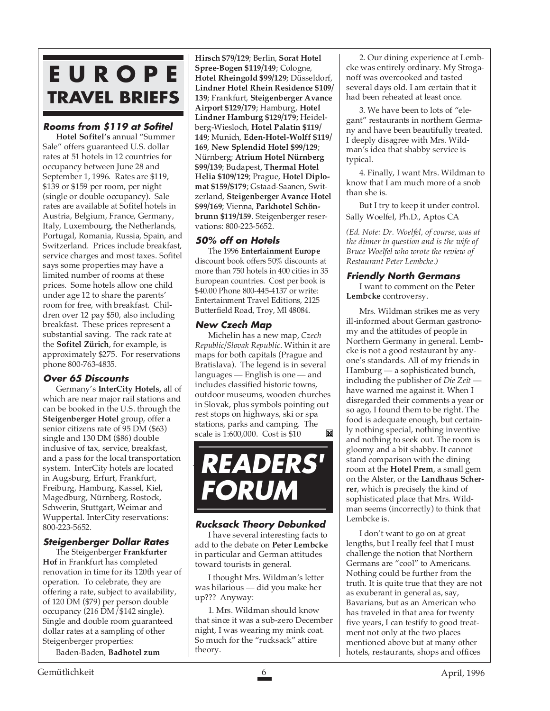# **E U R O P E TRAVEL BRIEFS**

# **Rooms from \$119 at Sofitel**

**Hotel Sofitel's** annual "Summer Sale" offers guaranteed U.S. dollar rates at 51 hotels in 12 countries for occupancy between June 28 and September 1, 1996. Rates are \$119, \$139 or \$159 per room, per night (single or double occupancy). Sale rates are available at Sofitel hotels in Austria, Belgium, France, Germany, Italy, Luxembourg, the Netherlands, Portugal, Romania, Russia, Spain, and Switzerland. Prices include breakfast, service charges and most taxes. Sofitel says some properties may have a limited number of rooms at these prices. Some hotels allow one child under age 12 to share the parents' room for free, with breakfast. Children over 12 pay \$50, also including breakfast. These prices represent a substantial saving. The rack rate at the **Sofitel Zürich**, for example, is approximately \$275. For reservations phone 800-763-4835.

# **Over 65 Discounts**

Germany's **InterCity Hotels,** all of which are near major rail stations and can be booked in the U.S. through the **Steigenberger Hotel** group, offer a senior citizens rate of 95 DM (\$63) single and 130 DM (\$86) double inclusive of tax, service, breakfast, and a pass for the local transportation system. InterCity hotels are located in Augsburg, Erfurt, Frankfurt, Freiburg, Hamburg, Kassel, Kiel, Magedburg, Nürnberg, Rostock, Schwerin, Stuttgart, Weimar and Wuppertal. InterCity reservations: 800-223-5652.

# **Steigenberger Dollar Rates**

The Steigenberger **Frankfurter Hof** in Frankfurt has completed renovation in time for its 120th year of operation. To celebrate, they are offering a rate, subject to availability, of 120 DM (\$79) per person double occupancy (216 DM/\$142 single). Single and double room guaranteed dollar rates at a sampling of other Steigenberger properties:

Baden-Baden, **Badhotel zum**

**Hirsch \$79/129**; Berlin, **Sorat Hotel Spree-Bogen \$119/149**; Cologne, **Hotel Rheingold \$99/129**; Düsseldorf, **Lindner Hotel Rhein Residence \$109/ 139**; Frankfurt, **Steigenberger Avance Airport \$129/179**; Hamburg, **Hotel Lindner Hamburg \$129/179**; Heidelberg-Wiesloch, **Hotel Palatin \$119/ 149**; Munich, **Eden-Hotel-Wolff \$119/ 169**, **New Splendid Hotel \$99/129**; Nürnberg; **Atrium Hotel Nürnberg \$99/139**; Budapest**, Thermal Hotel Helia \$109/129**; Prague, **Hotel Diplomat \$159/\$179**; Gstaad-Saanen, Switzerland, **Steigenberger Avance Hotel \$99/169**; Vienna, **Parkhotel Schönbrunn \$119/159**. Steigenberger reservations: 800-223-5652.

# **50% off on Hotels**

The 1996 **Entertainment Europe** discount book offers 50% discounts at more than 750 hotels in 400 cities in 35 European countries. Cost per book is \$40.00 Phone 800-445-4137 or write: Entertainment Travel Editions, 2125 Butterfield Road, Troy, Ml 48084.

# **New Czech Map**

Michelin has a new map, *Czech Republic/Slovak Republic*. Within it are maps for both capitals (Prague and Bratislava). The legend is in several languages — English is one — and includes classified historic towns, outdoor museums, wooden churches in Slovak, plus symbols pointing out rest stops on highways, ski or spa stations, parks and camping. The scale is 1:600,000. Cost is \$10 M



# **Rucksack Theory Debunked**

I have several interesting facts to add to the debate on **Peter Lembcke** in particular and German attitudes toward tourists in general.

I thought Mrs. Wildman's letter was hilarious — did you make her up??? Anyway:

1. Mrs. Wildman should know that since it was a sub-zero December night, I was wearing my mink coat. So much for the "rucksack" attire theory.

2. Our dining experience at Lembcke was entirely ordinary. My Stroganoff was overcooked and tasted several days old. I am certain that it had been reheated at least once.

3. We have been to lots of "elegant" restaurants in northern Germany and have been beautifully treated. I deeply disagree with Mrs. Wildman's idea that shabby service is typical.

4. Finally, I want Mrs. Wildman to know that I am much more of a snob than she is.

But I try to keep it under control. Sally Woelfel, Ph.D., Aptos CA

*(Ed. Note: Dr. Woelfel, of course, was at the dinner in question and is the wife of Bruce Woelfel who wrote the review of Restaurant Peter Lembcke.)*

# **Friendly North Germans**

I want to comment on the **Peter Lembcke** controversy.

Mrs. Wildman strikes me as very ill-informed about German gastronomy and the attitudes of people in Northern Germany in general. Lembcke is not a good restaurant by anyone's standards. All of my friends in Hamburg — a sophisticated bunch, including the publisher of *Die Zeit* have warned me against it. When I disregarded their comments a year or so ago, I found them to be right. The food is adequate enough, but certainly nothing special, nothing inventive and nothing to seek out. The room is gloomy and a bit shabby. It cannot stand comparison with the dining room at the **Hotel Prem**, a small gem on the Alster, or the **Landhaus Scherrer**, which is precisely the kind of sophisticated place that Mrs. Wildman seems (incorrectly) to think that Lembcke is.

I don't want to go on at great lengths, but I really feel that I must challenge the notion that Northern Germans are "cool" to Americans. Nothing could be further from the truth. It is quite true that they are not as exuberant in general as, say, Bavarians, but as an American who has traveled in that area for twenty five years, I can testify to good treatment not only at the two places mentioned above but at many other hotels, restaurants, shops and offices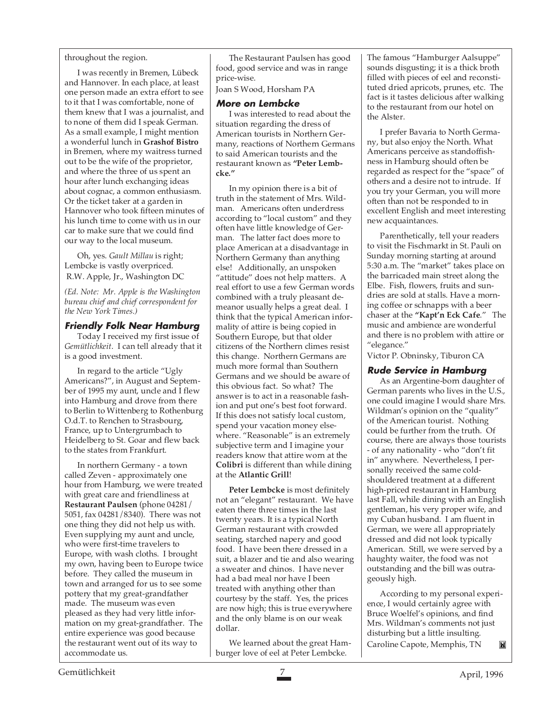throughout the region.

I was recently in Bremen, Lübeck and Hannover. In each place, at least one person made an extra effort to see to it that I was comfortable, none of them knew that I was a journalist, and to none of them did I speak German. As a small example, I might mention a wonderful lunch in **Grashof Bistro** in Bremen, where my waitress turned out to be the wife of the proprietor, and where the three of us spent an hour after lunch exchanging ideas about cognac, a common enthusiasm. Or the ticket taker at a garden in Hannover who took fifteen minutes of his lunch time to come with us in our car to make sure that we could find our way to the local museum.

Oh, yes. *Gault Millau* is right; Lembcke is vastly overpriced. R.W. Apple, Jr., Washington DC

*(Ed. Note: Mr. Apple is the Washington bureau chief and chief correspondent for the New York Times.)*

#### **Friendly Folk Near Hamburg**

Today I received my first issue of *Gemütlichkeit*. I can tell already that it is a good investment.

In regard to the article "Ugly Americans?", in August and September of 1995 my aunt, uncle and I flew into Hamburg and drove from there to Berlin to Wittenberg to Rothenburg O.d.T. to Renchen to Strasbourg, France, up to Untergrumbach to Heidelberg to St. Goar and flew back to the states from Frankfurt.

In northern Germany - a town called Zeven - approximately one hour from Hamburg, we were treated with great care and friendliness at **Restaurant Paulsen** (phone 04281/ 5051, fax 04281/8340). There was not one thing they did not help us with. Even supplying my aunt and uncle, who were first-time travelers to Europe, with wash cloths. I brought my own, having been to Europe twice before. They called the museum in town and arranged for us to see some pottery that my great-grandfather made. The museum was even pleased as they had very little information on my great-grandfather. The entire experience was good because the restaurant went out of its way to accommodate us.

The Restaurant Paulsen has good food, good service and was in range price-wise.

Joan S Wood, Horsham PA

#### **More on Lembcke**

I was interested to read about the situation regarding the dress of American tourists in Northern Germany, reactions of Northern Germans to said American tourists and the restaurant known as **"Peter Lembcke."**

In my opinion there is a bit of truth in the statement of Mrs. Wildman. Americans often underdress according to "local custom" and they often have little knowledge of German. The latter fact does more to place American at a disadvantage in Northern Germany than anything else! Additionally, an unspoken "attitude" does not help matters. A real effort to use a few German words combined with a truly pleasant demeanor usually helps a great deal. I think that the typical American informality of attire is being copied in Southern Europe, but that older citizens of the Northern climes resist this change. Northern Germans are much more formal than Southern Germans and we should be aware of this obvious fact. So what? The answer is to act in a reasonable fashion and put one's best foot forward. If this does not satisfy local custom, spend your vacation money elsewhere. "Reasonable" is an extremely subjective term and I imagine your readers know that attire worn at the **Colibri** is different than while dining at the **Atlantic Grill**!

**Peter Lembcke** is most definitely not an "elegant" restaurant. We have eaten there three times in the last twenty years. It is a typical North German restaurant with crowded seating, starched napery and good food. I have been there dressed in a suit, a blazer and tie and also wearing a sweater and chinos. I have never had a bad meal nor have I been treated with anything other than courtesy by the staff. Yes, the prices are now high; this is true everywhere and the only blame is on our weak dollar.

We learned about the great Hamburger love of eel at Peter Lembcke.

The famous "Hamburger Aalsuppe" sounds disgusting; it is a thick broth filled with pieces of eel and reconstituted dried apricots, prunes, etc. The fact is it tastes delicious after walking to the restaurant from our hotel on the Alster.

I prefer Bavaria to North Germany, but also enjoy the North. What Americans perceive as standoffishness in Hamburg should often be regarded as respect for the "space" of others and a desire not to intrude. If you try your German, you will more often than not be responded to in excellent English and meet interesting new acquaintances.

Parenthetically, tell your readers to visit the Fischmarkt in St. Pauli on Sunday morning starting at around 5:30 a.m. The "market" takes place on the barricaded main street along the Elbe. Fish, flowers, fruits and sundries are sold at stalls. Have a morning coffee or schnapps with a beer chaser at the **"Kapt'n Eck Cafe**." The music and ambience are wonderful and there is no problem with attire or "elegance."

Victor P. Obninsky, Tiburon CA

# **Rude Service in Hamburg**

As an Argentine-born daughter of German parents who lives in the U.S., one could imagine I would share Mrs. Wildman's opinion on the "quality" of the American tourist. Nothing could be further from the truth. Of course, there are always those tourists - of any nationality - who "don't fit in" anywhere. Nevertheless, I personally received the same coldshouldered treatment at a different high-priced restaurant in Hamburg last Fall, while dining with an English gentleman, his very proper wife, and my Cuban husband. I am fluent in German, we were all appropriately dressed and did not look typically American. Still, we were served by a haughty waiter, the food was not outstanding and the bill was outrageously high.

According to my personal experience, I would certainly agree with Bruce Woelfel's opinions, and find Mrs. Wildman's comments not just disturbing but a little insulting. Caroline Capote, Memphis, TN M